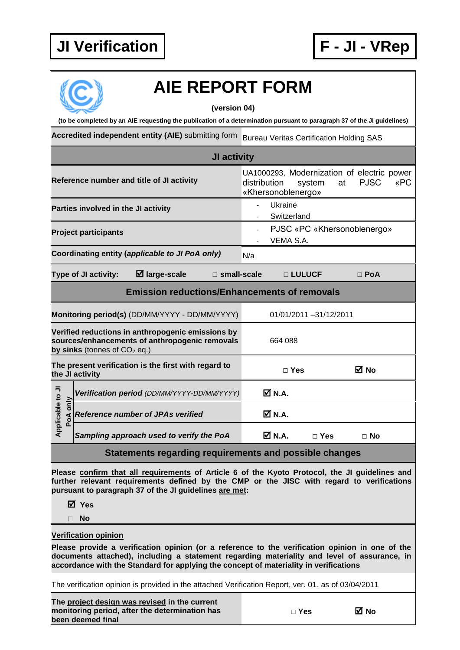## **JI Verification F - JI - VRep**



## **AIE REPORT FORM**

**(version 04)**

**(to be completed by an AIE requesting the publication of a determination pursuant to paragraph 37 of the JI guidelines)**

**Accredited independent entity (AIE)** submitting form Bureau Veritas Certification Holding SAS

| JI activity                                                                                                                                                                                                                                                                              |                             |                                                                                                 |                                          |                                                    |            |                                                                                                                                                                                                |  |
|------------------------------------------------------------------------------------------------------------------------------------------------------------------------------------------------------------------------------------------------------------------------------------------|-----------------------------|-------------------------------------------------------------------------------------------------|------------------------------------------|----------------------------------------------------|------------|------------------------------------------------------------------------------------------------------------------------------------------------------------------------------------------------|--|
| Reference number and title of JI activity                                                                                                                                                                                                                                                |                             |                                                                                                 |                                          | distribution<br>«Khersonoblenergo»                 | system     | UA1000293, Modernization of electric power<br><b>PJSC</b><br>«PC<br>at                                                                                                                         |  |
| Parties involved in the JI activity                                                                                                                                                                                                                                                      |                             |                                                                                                 |                                          | Ukraine<br>$\overline{\phantom{0}}$<br>Switzerland |            |                                                                                                                                                                                                |  |
|                                                                                                                                                                                                                                                                                          | <b>Project participants</b> |                                                                                                 | PJSC «PC «Khersonoblenergo»<br>VEMA S.A. |                                                    |            |                                                                                                                                                                                                |  |
|                                                                                                                                                                                                                                                                                          |                             | Coordinating entity (applicable to JI PoA only)                                                 | N/a                                      |                                                    |            |                                                                                                                                                                                                |  |
|                                                                                                                                                                                                                                                                                          | Type of JI activity:        | $\boxtimes$ large-scale                                                                         | $\square$ small-scale                    |                                                    | □ LULUCF   | $\Box$ PoA                                                                                                                                                                                     |  |
|                                                                                                                                                                                                                                                                                          |                             | <b>Emission reductions/Enhancements of removals</b>                                             |                                          |                                                    |            |                                                                                                                                                                                                |  |
| Monitoring period(s) (DD/MM/YYYY - DD/MM/YYYY)                                                                                                                                                                                                                                           |                             |                                                                                                 |                                          | 01/01/2011 -31/12/2011                             |            |                                                                                                                                                                                                |  |
| Verified reductions in anthropogenic emissions by<br>sources/enhancements of anthropogenic removals<br>by sinks (tonnes of $CO2$ eq.)                                                                                                                                                    |                             |                                                                                                 | 664 088                                  |                                                    |            |                                                                                                                                                                                                |  |
| The present verification is the first with regard to<br>the JI activity                                                                                                                                                                                                                  |                             |                                                                                                 |                                          | $\Box$ Yes                                         | ⊠ No       |                                                                                                                                                                                                |  |
| Applicable to JI<br>only<br>PoA                                                                                                                                                                                                                                                          |                             | Verification period (DD/MM/YYYY-DD/MM/YYYY)                                                     |                                          | $\boxtimes$ N.A.                                   |            |                                                                                                                                                                                                |  |
|                                                                                                                                                                                                                                                                                          |                             | <b>Reference number of JPAs verified</b>                                                        |                                          | <b>Ø</b> N.A.                                      |            |                                                                                                                                                                                                |  |
|                                                                                                                                                                                                                                                                                          |                             | Sampling approach used to verify the PoA                                                        |                                          | M N.A.                                             | $\Box$ Yes | $\Box$ No                                                                                                                                                                                      |  |
| Statements regarding requirements and possible changes                                                                                                                                                                                                                                   |                             |                                                                                                 |                                          |                                                    |            |                                                                                                                                                                                                |  |
| Please confirm that all requirements of Article 6 of the Kyoto Protocol, the JI guidelines and<br>further relevant requirements defined by the CMP or the JISC with regard to verifications<br>pursuant to paragraph 37 of the JI guidelines are met:<br><b>Ø</b> Yes<br><b>No</b><br>П. |                             |                                                                                                 |                                          |                                                    |            |                                                                                                                                                                                                |  |
|                                                                                                                                                                                                                                                                                          | <b>Verification opinion</b> | accordance with the Standard for applying the concept of materiality in verifications           |                                          |                                                    |            | Please provide a verification opinion (or a reference to the verification opinion in one of the<br>documents attached), including a statement regarding materiality and level of assurance, in |  |
| The verification opinion is provided in the attached Verification Report, ver. 01, as of 03/04/2011                                                                                                                                                                                      |                             |                                                                                                 |                                          |                                                    |            |                                                                                                                                                                                                |  |
|                                                                                                                                                                                                                                                                                          | been deemed final           | The project design was revised in the current<br>monitoring period, after the determination has |                                          | $\Box$ Yes                                         | M No       |                                                                                                                                                                                                |  |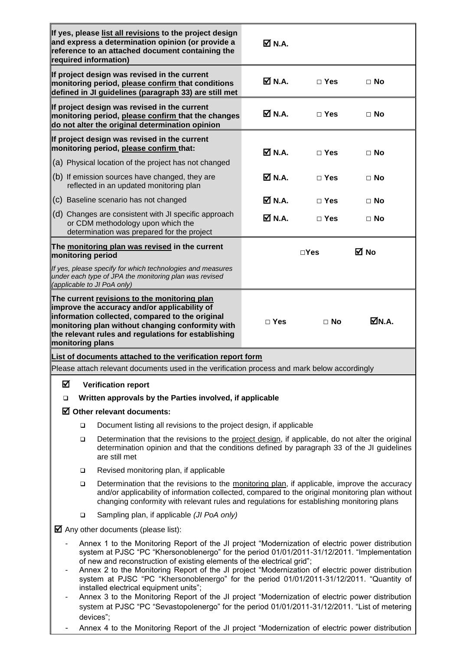|                                                                                                                                                                                                                                                                                                                                                                                                                                                                                                                                                                                                                          |                                                                                                                                                                                                                                                                                                   | If yes, please list all revisions to the project design<br>and express a determination opinion (or provide a<br>reference to an attached document containing the<br>required information)                                                                  | <b>Ø</b> N.A. |               |              |  |  |
|--------------------------------------------------------------------------------------------------------------------------------------------------------------------------------------------------------------------------------------------------------------------------------------------------------------------------------------------------------------------------------------------------------------------------------------------------------------------------------------------------------------------------------------------------------------------------------------------------------------------------|---------------------------------------------------------------------------------------------------------------------------------------------------------------------------------------------------------------------------------------------------------------------------------------------------|------------------------------------------------------------------------------------------------------------------------------------------------------------------------------------------------------------------------------------------------------------|---------------|---------------|--------------|--|--|
|                                                                                                                                                                                                                                                                                                                                                                                                                                                                                                                                                                                                                          |                                                                                                                                                                                                                                                                                                   | If project design was revised in the current<br>monitoring period, please confirm that conditions<br>defined in JI guidelines (paragraph 33) are still met                                                                                                 | <b>☑ N.A.</b> | $\Box$ Yes    | $\Box$ No    |  |  |
|                                                                                                                                                                                                                                                                                                                                                                                                                                                                                                                                                                                                                          |                                                                                                                                                                                                                                                                                                   | If project design was revised in the current<br>monitoring period, please confirm that the changes<br>do not alter the original determination opinion                                                                                                      | <b>☑ N.A.</b> | $\Box$ Yes    | $\Box$ No    |  |  |
|                                                                                                                                                                                                                                                                                                                                                                                                                                                                                                                                                                                                                          |                                                                                                                                                                                                                                                                                                   | If project design was revised in the current<br>monitoring period, please confirm that:                                                                                                                                                                    | <b>Ø</b> N.A. |               |              |  |  |
|                                                                                                                                                                                                                                                                                                                                                                                                                                                                                                                                                                                                                          | (a) Physical location of the project has not changed                                                                                                                                                                                                                                              |                                                                                                                                                                                                                                                            |               | $\Box$ Yes    | $\Box$ No    |  |  |
|                                                                                                                                                                                                                                                                                                                                                                                                                                                                                                                                                                                                                          | (b) If emission sources have changed, they are<br>reflected in an updated monitoring plan                                                                                                                                                                                                         |                                                                                                                                                                                                                                                            | M N.A.        | $\Box$ Yes    | $\Box$ No    |  |  |
|                                                                                                                                                                                                                                                                                                                                                                                                                                                                                                                                                                                                                          | (c) Baseline scenario has not changed                                                                                                                                                                                                                                                             |                                                                                                                                                                                                                                                            | <b>Ø</b> N.A. | $\Box$ Yes    | $\Box$ No    |  |  |
|                                                                                                                                                                                                                                                                                                                                                                                                                                                                                                                                                                                                                          |                                                                                                                                                                                                                                                                                                   | (d) Changes are consistent with JI specific approach<br>or CDM methodology upon which the<br>determination was prepared for the project                                                                                                                    | <b>Ø</b> N.A. | $\Box$ Yes    | $\Box$ No    |  |  |
| The monitoring plan was revised in the current<br>monitoring period                                                                                                                                                                                                                                                                                                                                                                                                                                                                                                                                                      |                                                                                                                                                                                                                                                                                                   |                                                                                                                                                                                                                                                            |               | $\square$ Yes | ⊠ No         |  |  |
| If yes, please specify for which technologies and measures<br>under each type of JPA the monitoring plan was revised<br>(applicable to JI PoA only)                                                                                                                                                                                                                                                                                                                                                                                                                                                                      |                                                                                                                                                                                                                                                                                                   |                                                                                                                                                                                                                                                            |               |               |              |  |  |
| monitoring plans                                                                                                                                                                                                                                                                                                                                                                                                                                                                                                                                                                                                         |                                                                                                                                                                                                                                                                                                   | The current revisions to the monitoring plan<br>improve the accuracy and/or applicability of<br>information collected, compared to the original<br>monitoring plan without changing conformity with<br>the relevant rules and regulations for establishing | $\Box$ Yes    | $\Box$ No     | <b>⊠N.A.</b> |  |  |
| List of documents attached to the verification report form                                                                                                                                                                                                                                                                                                                                                                                                                                                                                                                                                               |                                                                                                                                                                                                                                                                                                   |                                                                                                                                                                                                                                                            |               |               |              |  |  |
|                                                                                                                                                                                                                                                                                                                                                                                                                                                                                                                                                                                                                          |                                                                                                                                                                                                                                                                                                   | Please attach relevant documents used in the verification process and mark below accordingly                                                                                                                                                               |               |               |              |  |  |
| ☑                                                                                                                                                                                                                                                                                                                                                                                                                                                                                                                                                                                                                        |                                                                                                                                                                                                                                                                                                   | <b>Verification report</b>                                                                                                                                                                                                                                 |               |               |              |  |  |
| □                                                                                                                                                                                                                                                                                                                                                                                                                                                                                                                                                                                                                        |                                                                                                                                                                                                                                                                                                   | Written approvals by the Parties involved, if applicable                                                                                                                                                                                                   |               |               |              |  |  |
|                                                                                                                                                                                                                                                                                                                                                                                                                                                                                                                                                                                                                          | $\boxtimes$ Other relevant documents:<br>Document listing all revisions to the project design, if applicable<br>◻                                                                                                                                                                                 |                                                                                                                                                                                                                                                            |               |               |              |  |  |
|                                                                                                                                                                                                                                                                                                                                                                                                                                                                                                                                                                                                                          | Determination that the revisions to the project design, if applicable, do not alter the original<br>$\Box$<br>determination opinion and that the conditions defined by paragraph 33 of the JI guidelines<br>are still met                                                                         |                                                                                                                                                                                                                                                            |               |               |              |  |  |
|                                                                                                                                                                                                                                                                                                                                                                                                                                                                                                                                                                                                                          | □                                                                                                                                                                                                                                                                                                 | Revised monitoring plan, if applicable                                                                                                                                                                                                                     |               |               |              |  |  |
|                                                                                                                                                                                                                                                                                                                                                                                                                                                                                                                                                                                                                          | Determination that the revisions to the monitoring plan, if applicable, improve the accuracy<br>□<br>and/or applicability of information collected, compared to the original monitoring plan without<br>changing conformity with relevant rules and regulations for establishing monitoring plans |                                                                                                                                                                                                                                                            |               |               |              |  |  |
|                                                                                                                                                                                                                                                                                                                                                                                                                                                                                                                                                                                                                          | $\Box$                                                                                                                                                                                                                                                                                            | Sampling plan, if applicable (JI PoA only)                                                                                                                                                                                                                 |               |               |              |  |  |
|                                                                                                                                                                                                                                                                                                                                                                                                                                                                                                                                                                                                                          |                                                                                                                                                                                                                                                                                                   | $\blacksquare$ Any other documents (please list):                                                                                                                                                                                                          |               |               |              |  |  |
| Annex 1 to the Monitoring Report of the JI project "Modernization of electric power distribution<br>system at PJSC "PC "Khersonoblenergo" for the period 01/01/2011-31/12/2011. "Implementation<br>of new and reconstruction of existing elements of the electrical grid";<br>Annex 2 to the Monitoring Report of the JI project "Modernization of electric power distribution<br>system at PJSC "PC "Khersonoblenergo" for the period 01/01/2011-31/12/2011. "Quantity of<br>installed electrical equipment units";<br>Annex 3 to the Monitoring Report of the JI project "Modernization of electric power distribution |                                                                                                                                                                                                                                                                                                   |                                                                                                                                                                                                                                                            |               |               |              |  |  |
| system at PJSC "PC "Sevastopolenergo" for the period 01/01/2011-31/12/2011. "List of metering<br>devices";                                                                                                                                                                                                                                                                                                                                                                                                                                                                                                               |                                                                                                                                                                                                                                                                                                   |                                                                                                                                                                                                                                                            |               |               |              |  |  |

- Annex 4 to the Monitoring Report of the JI project "Modernization of electric power distribution